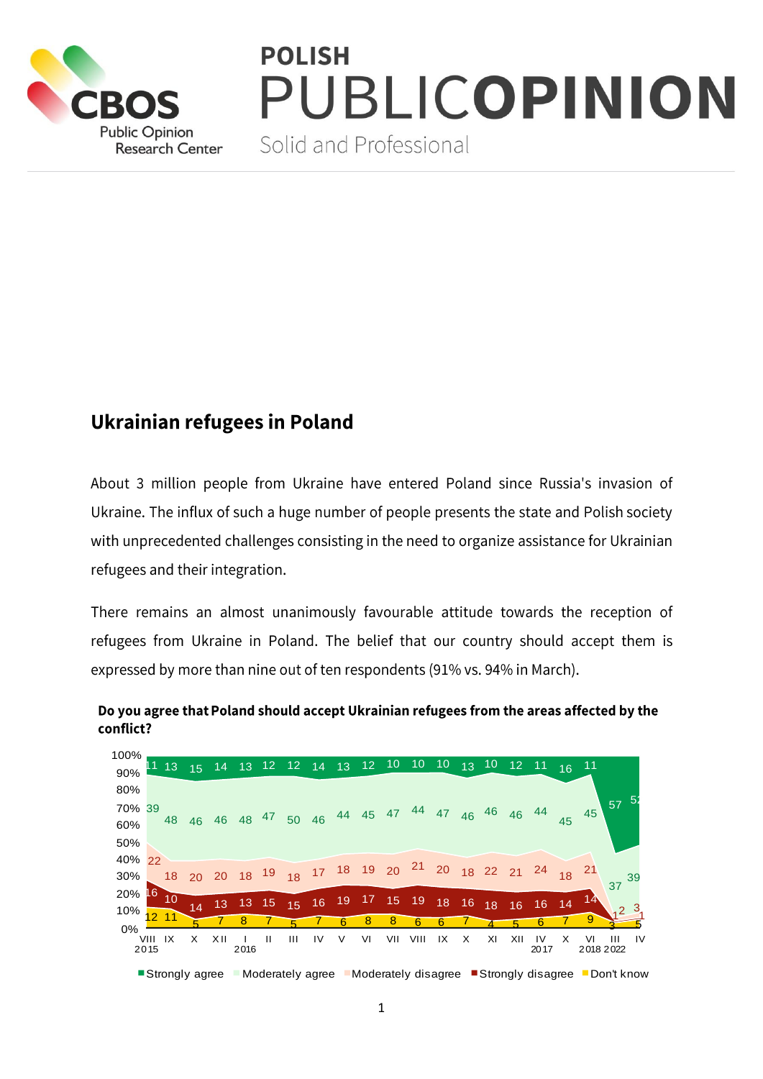

# **POLISH JBLICOPINION**

Solid and Professional

## **Ukrainian refugees in Poland**

About 3 million people from Ukraine have entered Poland since Russia's invasion of Ukraine. The influx of such a huge number of people presents the state and Polish society with unprecedented challenges consisting in the need to organize assistance for Ukrainian refugees and their integration.

There remains an almost unanimously favourable attitude towards the reception of refugees from Ukraine in Poland. The belief that our country should accept them is expressed by more than nine out of ten respondents (91% vs. 94% in March).



### Do you agree that Poland should accept Ukrainian refugees from the areas affected by the conflict?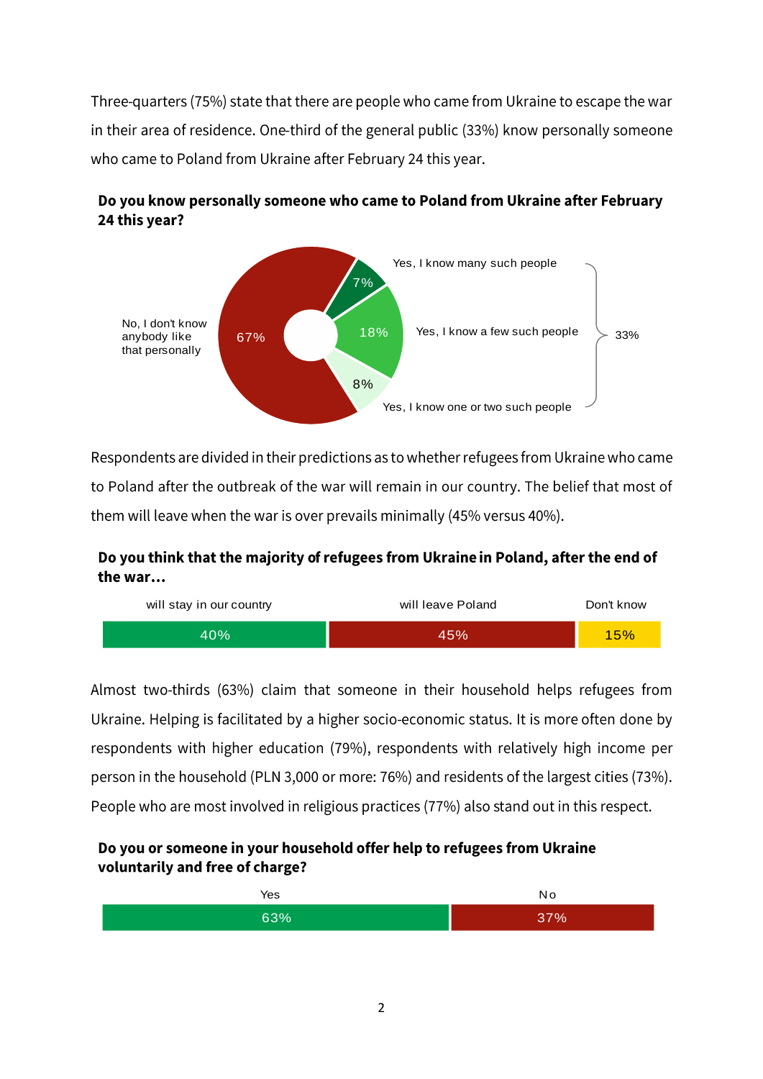Three-quarters (75%) state that there are people who came from Ukraine to escape the war in their area of residence. One-third of the general public (33%) know personally someone who came to Poland from Ukraine after February 24 this year.



### Do you know personally someone who came to Poland from Ukraine after February 24 this year?

Respondents are divided in their predictions as to whether refugees from Ukraine who came to Poland after the outbreak of the war will remain in our country. The belief that most of them will leave when the war is over prevails minimally (45% versus 40%).

### Do you think that the majority of refugees from Ukraine in Poland, after the end of the war...



Almost two-thirds (63%) claim that someone in their household helps refugees from Ukraine. Helping is facilitated by a higher socio-economic status. It is more often done by respondents with higher education (79%), respondents with relatively high income per person in the household (PLN 3,000 or more: 76%) and residents of the largest cities (73%). People who are most involved in religious practices (77%) also stand out in this respect.

#### Do you or someone in your household offer help to refugees from Ukraine voluntarily and free of charge?

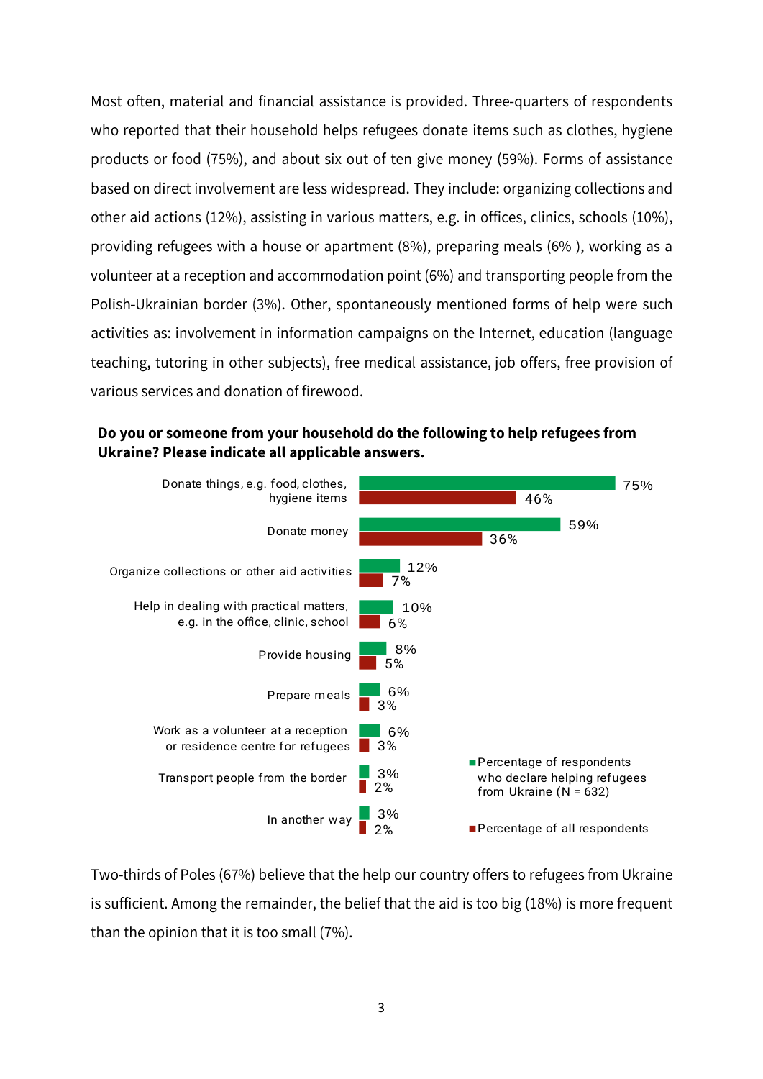Most often, material and financial assistance is provided. Three-quarters of respondents who reported that their household helps refugees donate items such as clothes, hygiene products or food (75%), and about six out of ten give money (59%). Forms of assistance based on direct involvement are less widespread. They include: organizing collections and other aid actions (12%), assisting in various matters, e.g. in offices, clinics, schools (10%), providing refugees with a house or apartment (8%), preparing meals (6%), working as a volunteer at a reception and accommodation point (6%) and transporting people from the Polish-Ukrainian border (3%). Other, spontaneously mentioned forms of help were such activities as: involvement in information campaigns on the Internet, education (language teaching, tutoring in other subjects), free medical assistance, job offers, free provision of various services and donation of firewood.





Two-thirds of Poles (67%) believe that the help our country offers to refugees from Ukraine is sufficient. Among the remainder, the belief that the aid is too big (18%) is more frequent than the opinion that it is too small (7%).